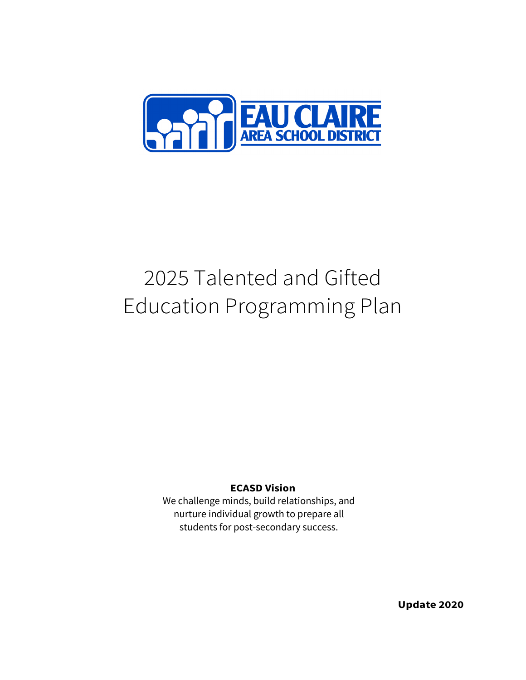

# 2025 Talented and Gifted Education Programming Plan

#### **ECASD Vision**

We challenge minds, build relationships, and nurture individual growth to prepare all students for post-secondary success.

**Update 2020**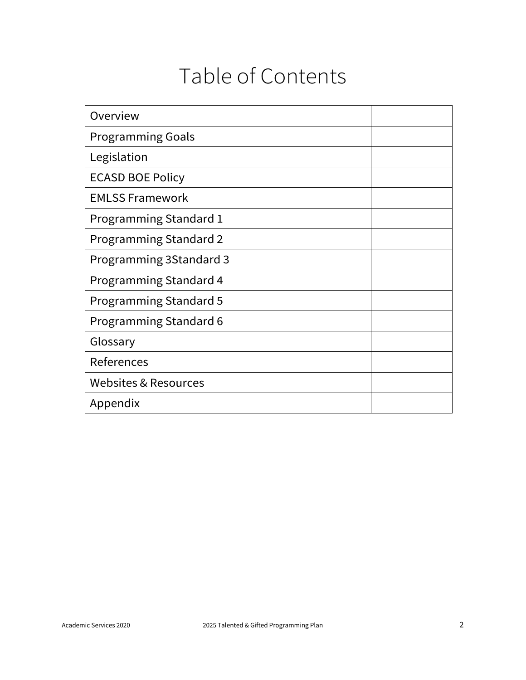## Table of Contents

| Overview                      |  |
|-------------------------------|--|
| <b>Programming Goals</b>      |  |
| Legislation                   |  |
| <b>ECASD BOE Policy</b>       |  |
| <b>EMLSS Framework</b>        |  |
| <b>Programming Standard 1</b> |  |
| <b>Programming Standard 2</b> |  |
| Programming 3Standard 3       |  |
| Programming Standard 4        |  |
| <b>Programming Standard 5</b> |  |
| <b>Programming Standard 6</b> |  |
| Glossary                      |  |
| References                    |  |
| Websites & Resources          |  |
| Appendix                      |  |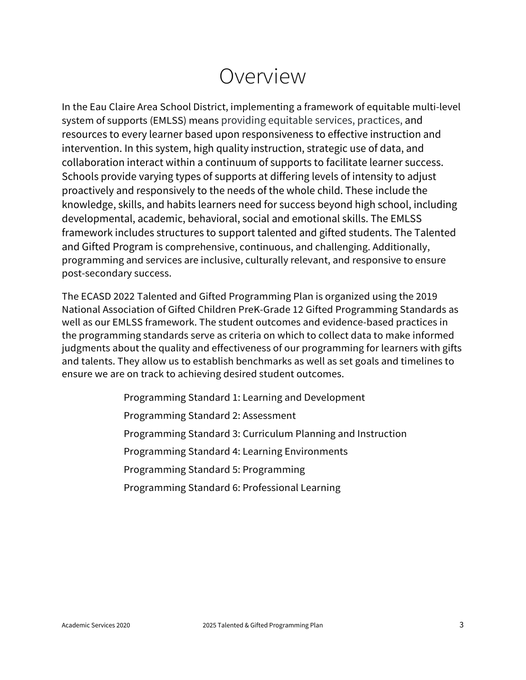### Overview

In the Eau Claire Area School District, implementing a framework of equitable multi-level system of supports (EMLSS) means providing equitable services, practices, and resources to every learner based upon responsiveness to effective instruction and intervention. In this system, high quality instruction, strategic use of data, and collaboration interact within a continuum of supports to facilitate learner success. Schools provide varying types of supports at differing levels of intensity to adjust proactively and responsively to the needs of the whole child. These include the knowledge, skills, and habits learners need for success beyond high school, including developmental, academic, behavioral, social and emotional skills. The EMLSS framework includes structures to support talented and gifted students. The Talented and Gifted Program is comprehensive, continuous, and challenging. Additionally, programming and services are inclusive, culturally relevant, and responsive to ensure post-secondary success.

The ECASD 2022 Talented and Gifted Programming Plan is organized using the 2019 National Association of Gifted Children PreK-Grade 12 Gifted Programming Standards as well as our EMLSS framework. The student outcomes and evidence-based practices in the programming standards serve as criteria on which to collect data to make informed judgments about the quality and effectiveness of our programming for learners with gifts and talents. They allow us to establish benchmarks as well as set goals and timelines to ensure we are on track to achieving desired student outcomes.

> Programming Standard 1: Learning and Development Programming Standard 2: Assessment Programming Standard 3: Curriculum Planning and Instruction Programming Standard 4: Learning Environments Programming Standard 5: Programming Programming Standard 6: Professional Learning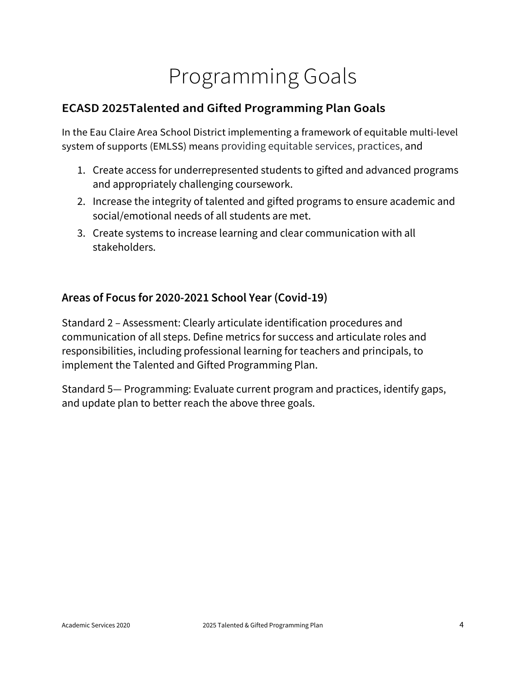# Programming Goals

### **ECASD 2025Talented and Gifted Programming Plan Goals**

In the Eau Claire Area School District implementing a framework of equitable multi-level system of supports (EMLSS) means providing equitable services, practices, and

- 1. Create access for underrepresented students to gifted and advanced programs and appropriately challenging coursework.
- 2. Increase the integrity of talented and gifted programs to ensure academic and social/emotional needs of all students are met.
- 3. Create systems to increase learning and clear communication with all stakeholders.

#### **Areas of Focus for 2020-2021 School Year (Covid-19)**

Standard 2 – Assessment: Clearly articulate identification procedures and communication of all steps. Define metrics for success and articulate roles and responsibilities, including professional learning for teachers and principals, to implement the Talented and Gifted Programming Plan.

Standard 5— Programming: Evaluate current program and practices, identify gaps, and update plan to better reach the above three goals.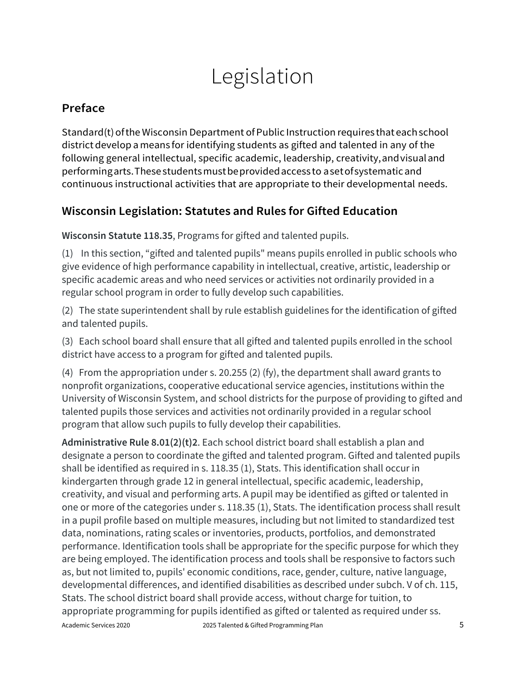# Legislation

### **Preface**

Standard(t) of the Wisconsin Department of Public Instruction requires that each school district develop a means for identifying students as gifted and talented in any of the following general intellectual, specific academic, leadership, creativity,andvisualand performingarts.Thesestudentsmustbeprovidedaccess to asetofsystematicand continuous instructional activities that are appropriate to their developmental needs.

### **Wisconsin Legislation: Statutes and Rules for Gifted Education**

**Wisconsin Statute 118.35**, Programs for gifted and talented pupils.

(1) In this section, "gifted and talented pupils" means pupils enrolled in public schools who give evidence of high performance capability in intellectual, creative, artistic, leadership or specific academic areas and who need services or activities not ordinarily provided in a regular school program in order to fully develop such capabilities.

(2) The state superintendent shall by rule establish guidelines for the identification of gifted and talented pupils.

(3) Each school board shall ensure that all gifted and talented pupils enrolled in the school district have access to a program for gifted and talented pupils.

(4) From the appropriation under s. 20.255 (2) (fy), the department shall award grants to nonprofit organizations, cooperative educational service agencies, institutions within the University of Wisconsin System, and school districts for the purpose of providing to gifted and talented pupils those services and activities not ordinarily provided in a regular school program that allow such pupils to fully develop their capabilities.

Academic Services 2020 2025 Talented & Gifted Programming Plan **Administrative Rule 8.01(2)(t)2**. Each school district board shall establish a plan and designate a person to coordinate the gifted and talented program. Gifted and talented pupils shall be identified as required in s. 118.35 (1), Stats. This identification shall occur in kindergarten through grade 12 in general intellectual, specific academic, leadership, creativity, and visual and performing arts. A pupil may be identified as gifted or talented in one or more of the categories under s. 118.35 (1), Stats. The identification process shall result in a pupil profile based on multiple measures, including but not limited to standardized test data, nominations, rating scales or inventories, products, portfolios, and demonstrated performance. Identification tools shall be appropriate for the specific purpose for which they are being employed. The identification process and tools shall be responsive to factors such as, but not limited to, pupils' economic conditions, race, gender, culture, native language, developmental differences, and identified disabilities as described under subch. V of ch. 115, Stats. The school district board shall provide access, without charge for tuition, to appropriate programming for pupils identified as gifted or talented as required under ss.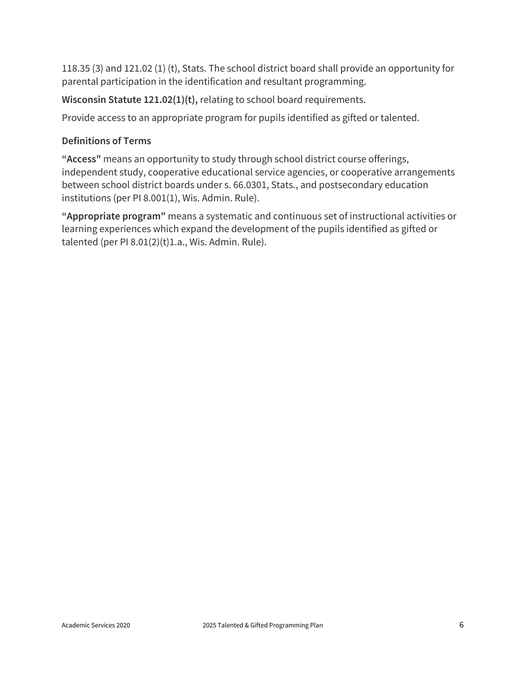118.35 (3) and 121.02 (1) (t), Stats. The school district board shall provide an opportunity for parental participation in the identification and resultant programming.

**Wisconsin Statute 121.02(1)(t),** relating to school board requirements.

Provide access to an appropriate program for pupils identified as gifted or talented.

#### **Definitions of Terms**

**"Access"** means an opportunity to study through school district course offerings, independent study, cooperative educational service agencies, or cooperative arrangements between school district boards under s. 66.0301, Stats., and postsecondary education institutions (per PI 8.001(1), Wis. Admin. Rule).

**"Appropriate program"** means a systematic and continuous set of instructional activities or learning experiences which expand the development of the pupils identified as gifted or talented (per PI  $8.01(2)(t)1.a.,$  Wis. Admin. Rule).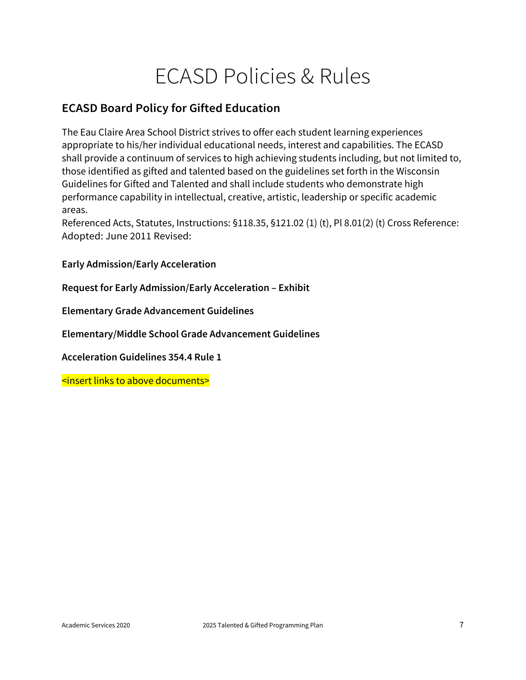## ECASD Policies & Rules

#### **ECASD Board Policy for Gifted Education**

The Eau Claire Area School District strives to offer each student learning experiences appropriate to his/her individual educational needs, interest and capabilities. The ECASD shall provide a continuum of services to high achieving students including, but not limited to, those identified as gifted and talented based on the guidelines set forth in the Wisconsin Guidelines for Gifted and Talented and shall include students who demonstrate high performance capability in intellectual, creative, artistic, leadership or specific academic areas.

Referenced Acts, Statutes, Instructions: §118.35, §121.02 (1) (t), Pl 8.01(2) (t) Cross Reference: Adopted: June 2011 Revised:

**Early Admission/Early Acceleration**

**Request for Early Admission/Early Acceleration – Exhibit**

**Elementary Grade Advancement Guidelines**

**Elementary/Middle School Grade Advancement Guidelines**

**Acceleration Guidelines 354.4 Rule 1**

<insert links to above documents>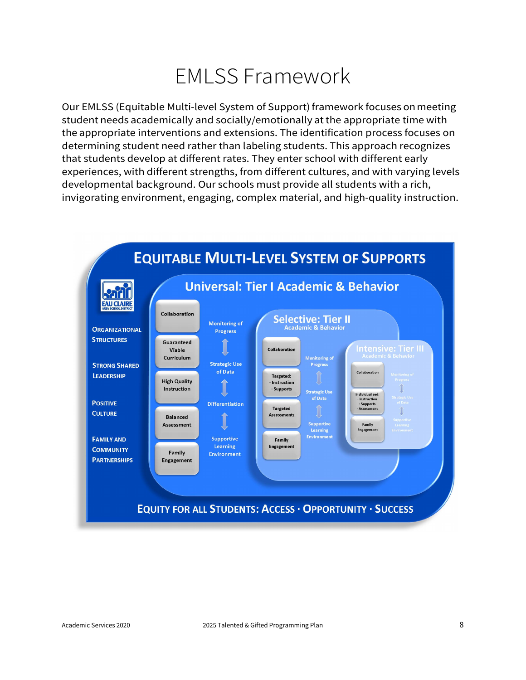## EMLSS Framework

Our EMLSS (Equitable Multi-level System of Support) framework focuses on meeting student needs academically and socially/emotionally at the appropriate time with the appropriate interventions and extensions. The identification process focuses on determining student need rather than labeling students. This approach recognizes that students develop at different rates. They enter school with different early experiences, with different strengths, from different cultures, and with varying levels developmental background. Our schools must provide all students with a rich, invigorating environment, engaging, complex material, and high-quality instruction.

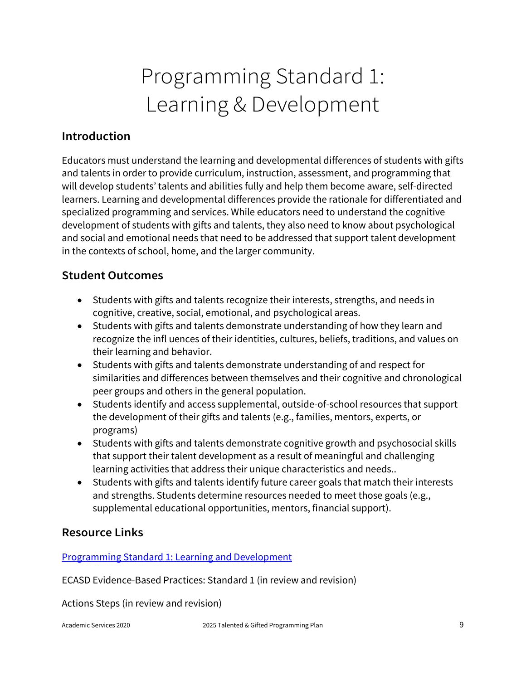# Programming Standard 1: Learning & Development

#### **Introduction**

Educators must understand the learning and developmental differences of students with gifts and talents in order to provide curriculum, instruction, assessment, and programming that will develop students' talents and abilities fully and help them become aware, self-directed learners. Learning and developmental differences provide the rationale for differentiated and specialized programming and services. While educators need to understand the cognitive development of students with gifts and talents, they also need to know about psychological and social and emotional needs that need to be addressed that support talent development in the contexts of school, home, and the larger community.

#### **Student Outcomes**

- Students with gifts and talents recognize their interests, strengths, and needs in cognitive, creative, social, emotional, and psychological areas.
- Students with gifts and talents demonstrate understanding of how they learn and recognize the infl uences of their identities, cultures, beliefs, traditions, and values on their learning and behavior.
- Students with gifts and talents demonstrate understanding of and respect for similarities and differences between themselves and their cognitive and chronological peer groups and others in the general population.
- Students identify and access supplemental, outside-of-school resources that support the development of their gifts and talents (e.g., families, mentors, experts, or programs)
- Students with gifts and talents demonstrate cognitive growth and psychosocial skills that support their talent development as a result of meaningful and challenging learning activities that address their unique characteristics and needs..
- Students with gifts and talents identify future career goals that match their interests and strengths. Students determine resources needed to meet those goals (e.g., supplemental educational opportunities, mentors, financial support).

#### **Resource Links**

[Programming Standard 1: Learning and Development](http://www.nagc.org/sites/default/files/standards/Programming%20Standard%201%20Learning%20%26%20Development.pdf)

ECASD Evidence-Based Practices: Standard 1 (in review and revision)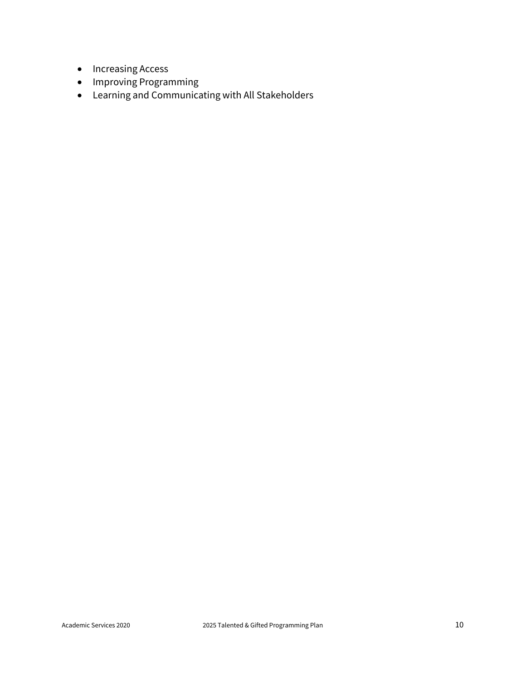- Increasing Access
- Improving Programming
- Learning and Communicating with All Stakeholders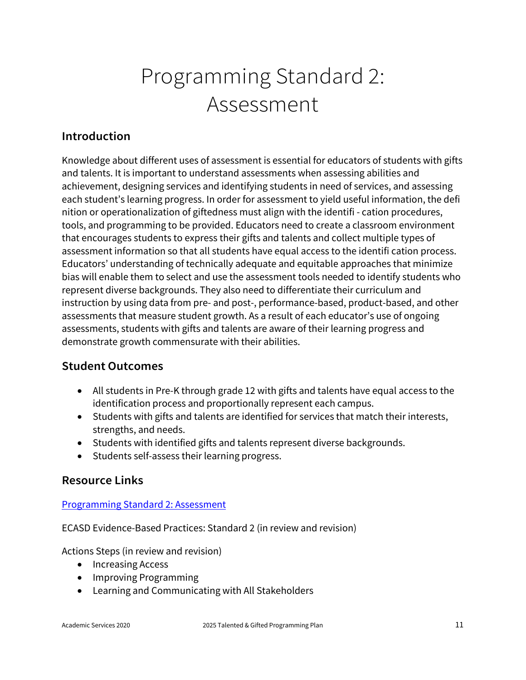# Programming Standard 2: Assessment

### **Introduction**

Knowledge about different uses of assessment is essential for educators of students with gifts and talents. It is important to understand assessments when assessing abilities and achievement, designing services and identifying students in need of services, and assessing each student's learning progress. In order for assessment to yield useful information, the defi nition or operationalization of giftedness must align with the identifi - cation procedures, tools, and programming to be provided. Educators need to create a classroom environment that encourages students to express their gifts and talents and collect multiple types of assessment information so that all students have equal access to the identifi cation process. Educators' understanding of technically adequate and equitable approaches that minimize bias will enable them to select and use the assessment tools needed to identify students who represent diverse backgrounds. They also need to differentiate their curriculum and instruction by using data from pre- and post-, performance-based, product-based, and other assessments that measure student growth. As a result of each educator's use of ongoing assessments, students with gifts and talents are aware of their learning progress and demonstrate growth commensurate with their abilities.

#### **Student Outcomes**

- All students in Pre-K through grade 12 with gifts and talents have equal access to the identification process and proportionally represent each campus.
- Students with gifts and talents are identified for services that match their interests, strengths, and needs.
- Students with identified gifts and talents represent diverse backgrounds.
- Students self-assess their learning progress.

#### **Resource Links**

#### [Programming Standard 2: Assessment](http://www.nagc.org/sites/default/files/standards/Programming%20Standard%202%20Assessment.pdf)

ECASD Evidence-Based Practices: Standard 2 (in review and revision)

- Increasing Access
- Improving Programming
- Learning and Communicating with All Stakeholders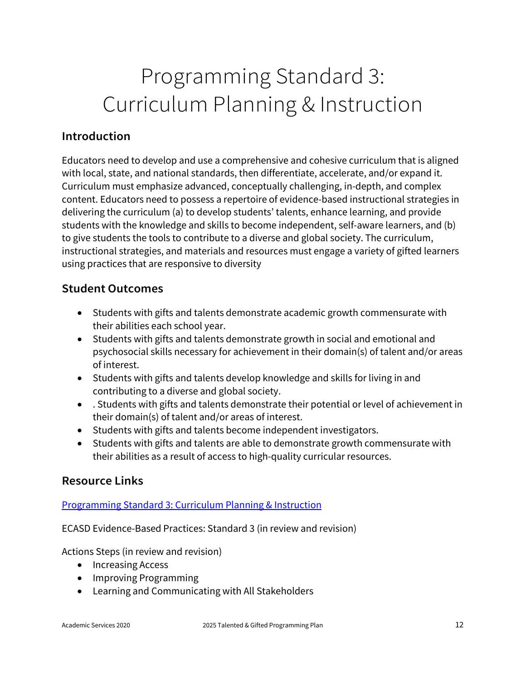# Programming Standard 3: Curriculum Planning & Instruction

#### **Introduction**

Educators need to develop and use a comprehensive and cohesive curriculum that is aligned with local, state, and national standards, then differentiate, accelerate, and/or expand it. Curriculum must emphasize advanced, conceptually challenging, in-depth, and complex content. Educators need to possess a repertoire of evidence-based instructional strategies in delivering the curriculum (a) to develop students' talents, enhance learning, and provide students with the knowledge and skills to become independent, self-aware learners, and (b) to give students the tools to contribute to a diverse and global society. The curriculum, instructional strategies, and materials and resources must engage a variety of gifted learners using practices that are responsive to diversity

#### **Student Outcomes**

- Students with gifts and talents demonstrate academic growth commensurate with their abilities each school year.
- Students with gifts and talents demonstrate growth in social and emotional and psychosocial skills necessary for achievement in their domain(s) of talent and/or areas of interest.
- Students with gifts and talents develop knowledge and skills for living in and contributing to a diverse and global society.
- . Students with gifts and talents demonstrate their potential or level of achievement in their domain(s) of talent and/or areas of interest.
- Students with gifts and talents become independent investigators.
- Students with gifts and talents are able to demonstrate growth commensurate with their abilities as a result of access to high-quality curricular resources.

#### **Resource Links**

#### [Programming Standard 3: Curriculum Planning & Instruction](http://www.nagc.org/sites/default/files/standards/Programming%20Standard%203%20Curriculum%20Planning%20%26%20Instruction.pdf)

ECASD Evidence-Based Practices: Standard 3 (in review and revision)

- Increasing Access
- Improving Programming
- Learning and Communicating with All Stakeholders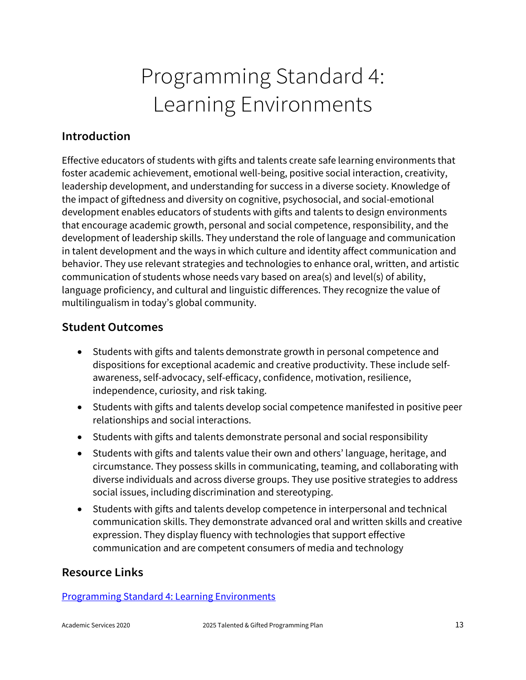# Programming Standard 4: Learning Environments

#### **Introduction**

Effective educators of students with gifts and talents create safe learning environments that foster academic achievement, emotional well-being, positive social interaction, creativity, leadership development, and understanding for success in a diverse society. Knowledge of the impact of giftedness and diversity on cognitive, psychosocial, and social-emotional development enables educators of students with gifts and talents to design environments that encourage academic growth, personal and social competence, responsibility, and the development of leadership skills. They understand the role of language and communication in talent development and the ways in which culture and identity affect communication and behavior. They use relevant strategies and technologies to enhance oral, written, and artistic communication of students whose needs vary based on area(s) and level(s) of ability, language proficiency, and cultural and linguistic differences. They recognize the value of multilingualism in today's global community.

#### **Student Outcomes**

- Students with gifts and talents demonstrate growth in personal competence and dispositions for exceptional academic and creative productivity. These include selfawareness, self-advocacy, self-efficacy, confidence, motivation, resilience, independence, curiosity, and risk taking.
- Students with gifts and talents develop social competence manifested in positive peer relationships and social interactions.
- Students with gifts and talents demonstrate personal and social responsibility
- Students with gifts and talents value their own and others' language, heritage, and circumstance. They possess skills in communicating, teaming, and collaborating with diverse individuals and across diverse groups. They use positive strategies to address social issues, including discrimination and stereotyping.
- Students with gifts and talents develop competence in interpersonal and technical communication skills. They demonstrate advanced oral and written skills and creative expression. They display fluency with technologies that support effective communication and are competent consumers of media and technology

#### **Resource Links**

[Programming Standard 4: Learning Environments](http://www.nagc.org/sites/default/files/standards/Programming%20Standard%204%20Learning%20Environments.pdf)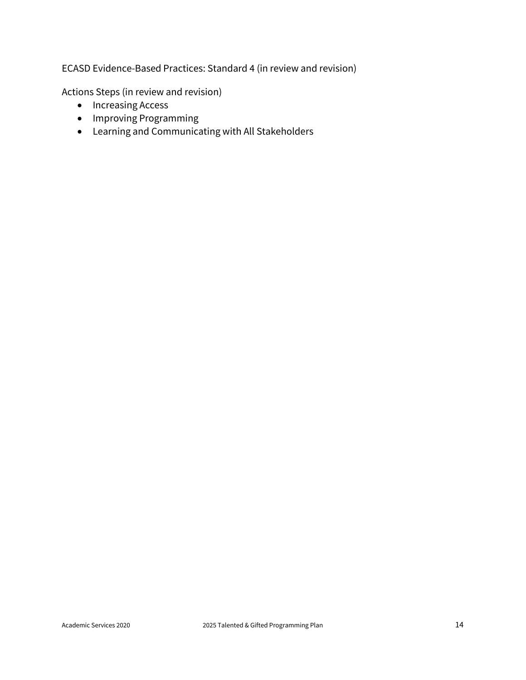ECASD Evidence-Based Practices: Standard 4 (in review and revision)

- Increasing Access
- Improving Programming
- Learning and Communicating with All Stakeholders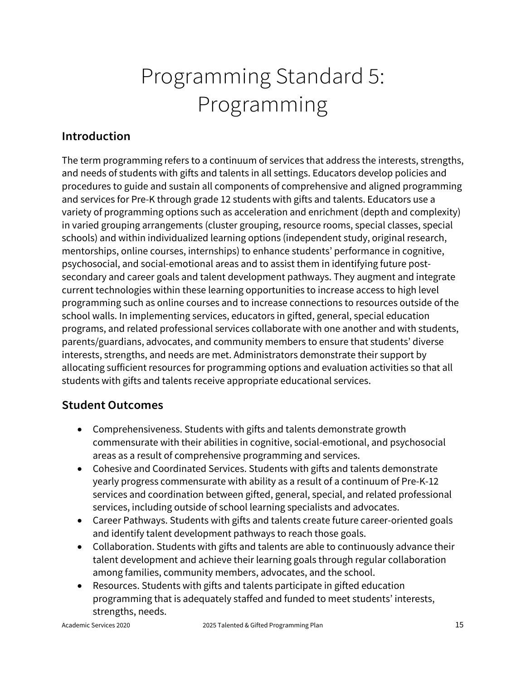# Programming Standard 5: Programming

### **Introduction**

The term programming refers to a continuum of services that address the interests, strengths, and needs of students with gifts and talents in all settings. Educators develop policies and procedures to guide and sustain all components of comprehensive and aligned programming and services for Pre-K through grade 12 students with gifts and talents. Educators use a variety of programming options such as acceleration and enrichment (depth and complexity) in varied grouping arrangements (cluster grouping, resource rooms, special classes, special schools) and within individualized learning options (independent study, original research, mentorships, online courses, internships) to enhance students' performance in cognitive, psychosocial, and social-emotional areas and to assist them in identifying future postsecondary and career goals and talent development pathways. They augment and integrate current technologies within these learning opportunities to increase access to high level programming such as online courses and to increase connections to resources outside of the school walls. In implementing services, educators in gifted, general, special education programs, and related professional services collaborate with one another and with students, parents/guardians, advocates, and community members to ensure that students' diverse interests, strengths, and needs are met. Administrators demonstrate their support by allocating sufficient resources for programming options and evaluation activities so that all students with gifts and talents receive appropriate educational services.

#### **Student Outcomes**

- Comprehensiveness. Students with gifts and talents demonstrate growth commensurate with their abilities in cognitive, social-emotional, and psychosocial areas as a result of comprehensive programming and services.
- Cohesive and Coordinated Services. Students with gifts and talents demonstrate yearly progress commensurate with ability as a result of a continuum of Pre-K-12 services and coordination between gifted, general, special, and related professional services, including outside of school learning specialists and advocates.
- Career Pathways. Students with gifts and talents create future career-oriented goals and identify talent development pathways to reach those goals.
- Collaboration. Students with gifts and talents are able to continuously advance their talent development and achieve their learning goals through regular collaboration among families, community members, advocates, and the school.
- Resources. Students with gifts and talents participate in gifted education programming that is adequately staffed and funded to meet students' interests, strengths, needs.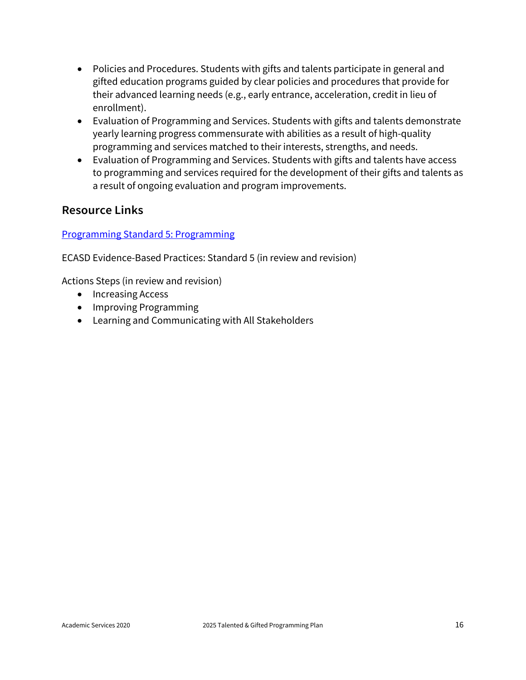- Policies and Procedures. Students with gifts and talents participate in general and gifted education programs guided by clear policies and procedures that provide for their advanced learning needs (e.g., early entrance, acceleration, credit in lieu of enrollment).
- Evaluation of Programming and Services. Students with gifts and talents demonstrate yearly learning progress commensurate with abilities as a result of high-quality programming and services matched to their interests, strengths, and needs.
- Evaluation of Programming and Services. Students with gifts and talents have access to programming and services required for the development of their gifts and talents as a result of ongoing evaluation and program improvements.

#### **Resource Links**

#### [Programming Standard 5: Programming](http://www.nagc.org/sites/default/files/standards/Programming%20Standard%205%20Programming.pdf)

ECASD Evidence-Based Practices: Standard 5 (in review and revision)

- Increasing Access
- Improving Programming
- Learning and Communicating with All Stakeholders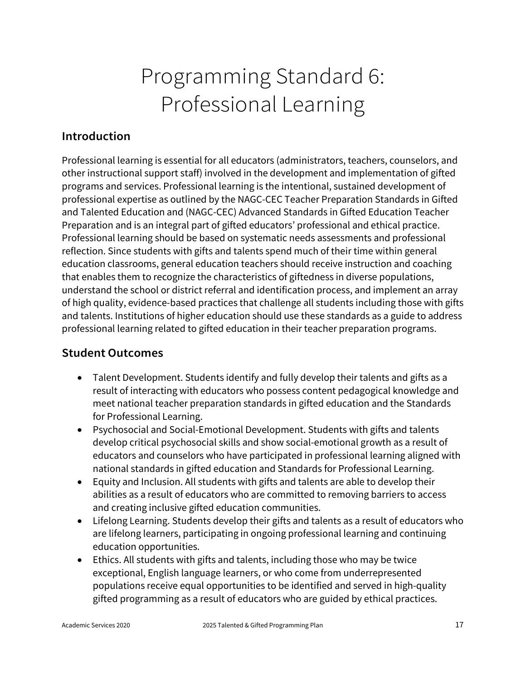# Programming Standard 6: Professional Learning

### **Introduction**

Professional learning is essential for all educators (administrators, teachers, counselors, and other instructional support staff) involved in the development and implementation of gifted programs and services. Professional learning is the intentional, sustained development of professional expertise as outlined by the NAGC-CEC Teacher Preparation Standards in Gifted and Talented Education and (NAGC-CEC) Advanced Standards in Gifted Education Teacher Preparation and is an integral part of gifted educators' professional and ethical practice. Professional learning should be based on systematic needs assessments and professional reflection. Since students with gifts and talents spend much of their time within general education classrooms, general education teachers should receive instruction and coaching that enables them to recognize the characteristics of giftedness in diverse populations, understand the school or district referral and identification process, and implement an array of high quality, evidence-based practices that challenge all students including those with gifts and talents. Institutions of higher education should use these standards as a guide to address professional learning related to gifted education in their teacher preparation programs.

#### **Student Outcomes**

- Talent Development. Students identify and fully develop their talents and gifts as a result of interacting with educators who possess content pedagogical knowledge and meet national teacher preparation standards in gifted education and the Standards for Professional Learning.
- Psychosocial and Social-Emotional Development. Students with gifts and talents develop critical psychosocial skills and show social-emotional growth as a result of educators and counselors who have participated in professional learning aligned with national standards in gifted education and Standards for Professional Learning.
- Equity and Inclusion. All students with gifts and talents are able to develop their abilities as a result of educators who are committed to removing barriers to access and creating inclusive gifted education communities.
- Lifelong Learning. Students develop their gifts and talents as a result of educators who are lifelong learners, participating in ongoing professional learning and continuing education opportunities.
- Ethics. All students with gifts and talents, including those who may be twice exceptional, English language learners, or who come from underrepresented populations receive equal opportunities to be identified and served in high-quality gifted programming as a result of educators who are guided by ethical practices.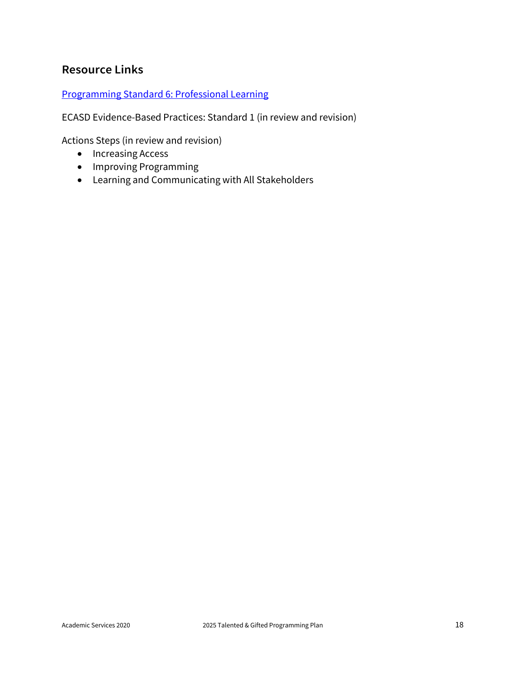### **Resource Links**

#### [Programming Standard 6: Professional Learning](http://www.nagc.org/sites/default/files/standards/Programming%20Standard%206%20Professional%20Learning.pdf)

ECASD Evidence-Based Practices: Standard 1 (in review and revision)

- Increasing Access
- Improving Programming
- Learning and Communicating with All Stakeholders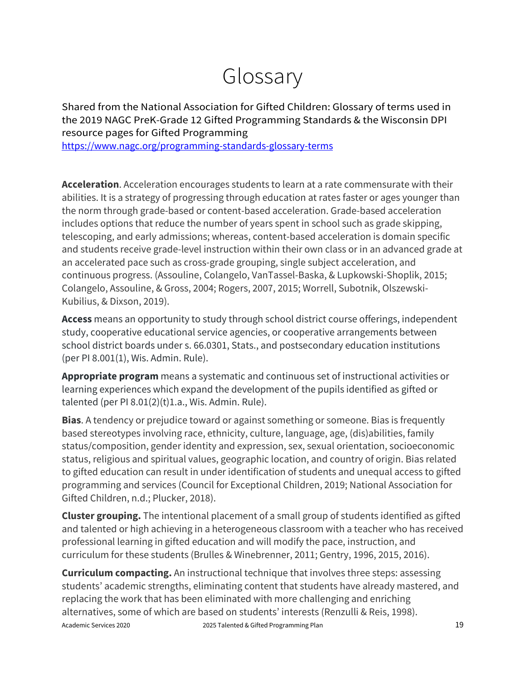## Glossary

Shared from the National Association for Gifted Children: Glossary of terms used in the 2019 NAGC PreK-Grade 12 Gifted Programming Standards & the Wisconsin DPI resource pages for Gifted Programming

<https://www.nagc.org/programming-standards-glossary-terms>

**Acceleration**. Acceleration encourages students to learn at a rate commensurate with their abilities. It is a strategy of progressing through education at rates faster or ages younger than the norm through grade-based or content-based acceleration. Grade-based acceleration includes options that reduce the number of years spent in school such as grade skipping, telescoping, and early admissions; whereas, content-based acceleration is domain specific and students receive grade-level instruction within their own class or in an advanced grade at an accelerated pace such as cross-grade grouping, single subject acceleration, and continuous progress. (Assouline, Colangelo, VanTassel-Baska, & Lupkowski-Shoplik, 2015; Colangelo, Assouline, & Gross, 2004; Rogers, 2007, 2015; Worrell, Subotnik, Olszewski-Kubilius, & Dixson, 2019).

**Access** means an opportunity to study through school district course offerings, independent study, cooperative educational service agencies, or cooperative arrangements between school district boards under s. 66.0301, Stats., and postsecondary education institutions (per PI 8.001(1), Wis. Admin. Rule).

**Appropriate program** means a systematic and continuous set of instructional activities or learning experiences which expand the development of the pupils identified as gifted or talented (per PI 8.01(2)(t)1.a., Wis. Admin. Rule).

**Bias**. A tendency or prejudice toward or against something or someone. Bias is frequently based stereotypes involving race, ethnicity, culture, language, age, (dis)abilities, family status/composition, gender identity and expression, sex, sexual orientation, socioeconomic status, religious and spiritual values, geographic location, and country of origin. Bias related to gifted education can result in under identification of students and unequal access to gifted programming and services (Council for Exceptional Children, 2019; National Association for Gifted Children, n.d.; Plucker, 2018).

**Cluster grouping.** The intentional placement of a small group of students identified as gifted and talented or high achieving in a heterogeneous classroom with a teacher who has received professional learning in gifted education and will modify the pace, instruction, and curriculum for these students (Brulles & Winebrenner, 2011; Gentry, 1996, 2015, 2016).

Academic Services 2020 2025 Talented & Gifted Programming Plan **Curriculum compacting.** An instructional technique that involves three steps: assessing students' academic strengths, eliminating content that students have already mastered, and replacing the work that has been eliminated with more challenging and enriching alternatives, some of which are based on students' interests (Renzulli & Reis, 1998).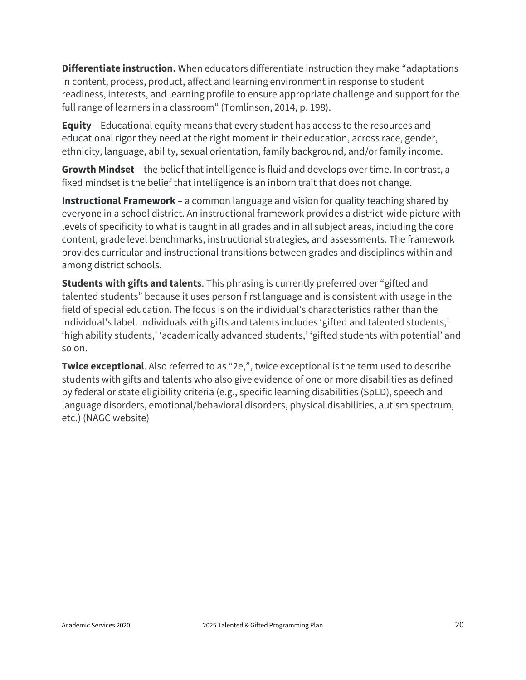**Differentiate instruction.** When educators differentiate instruction they make "adaptations in content, process, product, affect and learning environment in response to student readiness, interests, and learning profile to ensure appropriate challenge and support for the full range of learners in a classroom" (Tomlinson, 2014, p. 198).

**Equity** – Educational equity means that every student has access to the resources and educational rigor they need at the right moment in their education, across race, gender, ethnicity, language, ability, sexual orientation, family background, and/or family income.

**Growth Mindset** – the belief that intelligence is fluid and develops over time. In contrast, a fixed mindset is the belief that intelligence is an inborn trait that does not change.

**Instructional Framework** – a common language and vision for quality teaching shared by everyone in a school district. An instructional framework provides a district-wide picture with levels of specificity to what is taught in all grades and in all subject areas, including the core content, grade level benchmarks, instructional strategies, and assessments. The framework provides curricular and instructional transitions between grades and disciplines within and among district schools.

**Students with gifts and talents**. This phrasing is currently preferred over "gifted and talented students" because it uses person first language and is consistent with usage in the field of special education. The focus is on the individual's characteristics rather than the individual's label. Individuals with gifts and talents includes 'gifted and talented students,' 'high ability students,' 'academically advanced students,' 'gifted students with potential' and so on.

**Twice exceptional**. Also referred to as "2e,", twice exceptional is the term used to describe students with gifts and talents who also give evidence of one or more disabilities as defined by federal or state eligibility criteria (e.g., specific learning disabilities (SpLD), speech and language disorders, emotional/behavioral disorders, physical disabilities, autism spectrum, etc.) (NAGC website)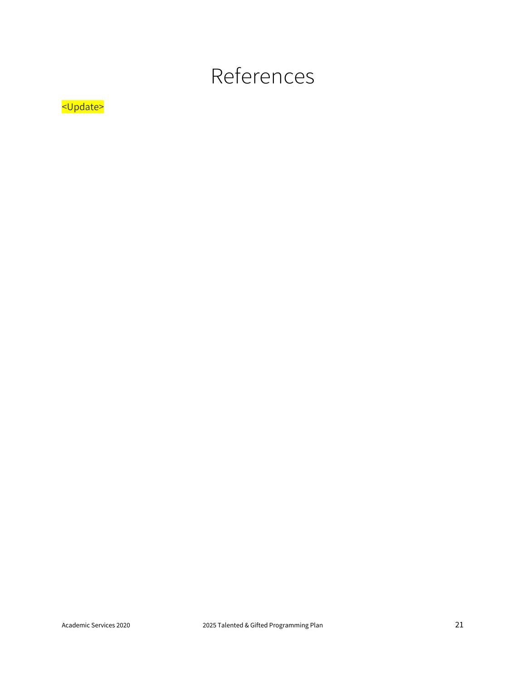## References

### <Update>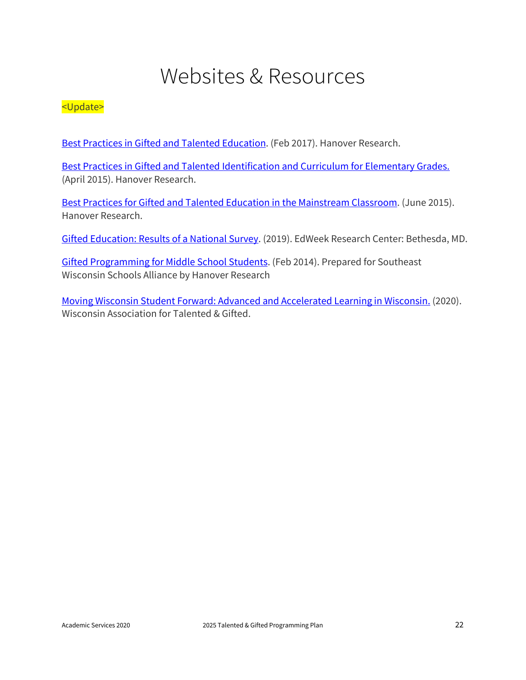## Websites & Resources

#### <Update>

[Best Practices in Gifted and Talented Education.](https://ecasdk12wi-my.sharepoint.com/:b:/g/personal/rgraf_ecasd_us/ER2Im1ey8l9FobaFhdsLSNoBr9poEBY-crbvICzwr2baGA?e=msrtpH) (Feb 2017). Hanover Research.

[Best Practices in Gifted and Talented Identification and Curriculum for Elementary Grades.](https://ecasdk12wi-my.sharepoint.com/:b:/g/personal/rgraf_ecasd_us/EXc7EG564lBAjmvB5RBFkaYBlxkjgl_VXd6a0-HyiYt-DA?e=Htgigl) (April 2015). Hanover Research.

[Best Practices for Gifted and Talented Education in the Mainstream Classroom.](https://ecasdk12wi-my.sharepoint.com/:b:/g/personal/rgraf_ecasd_us/EZoC-A8eE4tKjuLoCfLh7T8Bs4p0atpboOazn4--DK3D4w?e=dQNBDR) (June 2015). Hanover Research.

[Gifted Education: Results of a National Survey.](https://ecasdk12wi-my.sharepoint.com/:b:/g/personal/rgraf_ecasd_us/Eb_2aKkNWDFJqhIjG_b273MBse6S6BRpLYdGl-DkIejKzw?e=iKl1nK) (2019). EdWeek Research Center: Bethesda, MD.

[Gifted Programming for Middle School Students.](https://ecasdk12wi-my.sharepoint.com/:b:/g/personal/rgraf_ecasd_us/ETyxNNRoUglCrfLfeTz_vhYBglOc_1BD2I6-s9q-pAx_0w?e=DZ5zLS) (Feb 2014). Prepared for Southeast Wisconsin Schools Alliance by Hanover Research

[Moving Wisconsin Student Forward: Advanced and Accelerated Learning in Wisconsin.](https://ecasdk12wi-my.sharepoint.com/:b:/g/personal/rgraf_ecasd_us/EU-kJefGoCRKnKYPJirENdgBh7eTHnFsVz_R3SCmUdgEAg?e=6K8zG8) (2020). Wisconsin Association for Talented & Gifted.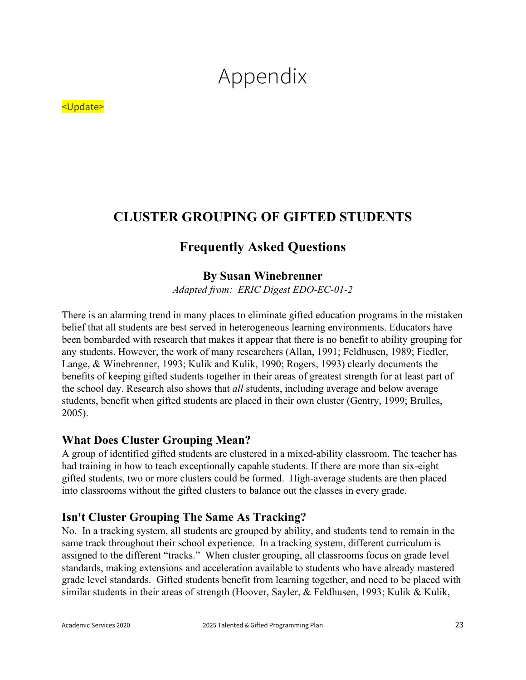# Appendix

#### <Update>

### **CLUSTER GROUPING OF GIFTED STUDENTS**

### **Frequently Asked Questions**

#### **By Susan Winebrenner**

*Adapted from: ERIC Digest EDO-EC-01-2* 

There is an alarming trend in many places to eliminate gifted education programs in the mistaken belief that all students are best served in heterogeneous learning environments. Educators have been bombarded with research that makes it appear that there is no benefit to ability grouping for any students. However, the work of many researchers (Allan, 1991; Feldhusen, 1989; Fiedler, Lange, & Winebrenner, 1993; Kulik and Kulik, 1990; Rogers, 1993) clearly documents the benefits of keeping gifted students together in their areas of greatest strength for at least part of the school day. Research also shows that *all* students, including average and below average students, benefit when gifted students are placed in their own cluster (Gentry, 1999; Brulles, 2005).

#### **What Does Cluster Grouping Mean?**

A group of identified gifted students are clustered in a mixed-ability classroom. The teacher has had training in how to teach exceptionally capable students. If there are more than six-eight gifted students, two or more clusters could be formed. High-average students are then placed into classrooms without the gifted clusters to balance out the classes in every grade.

#### **Isn't Cluster Grouping The Same As Tracking?**

No. In a tracking system, all students are grouped by ability, and students tend to remain in the same track throughout their school experience. In a tracking system, different curriculum is assigned to the different "tracks." When cluster grouping, all classrooms focus on grade level standards, making extensions and acceleration available to students who have already mastered grade level standards. Gifted students benefit from learning together, and need to be placed with similar students in their areas of strength (Hoover, Sayler, & Feldhusen, 1993; Kulik & Kulik,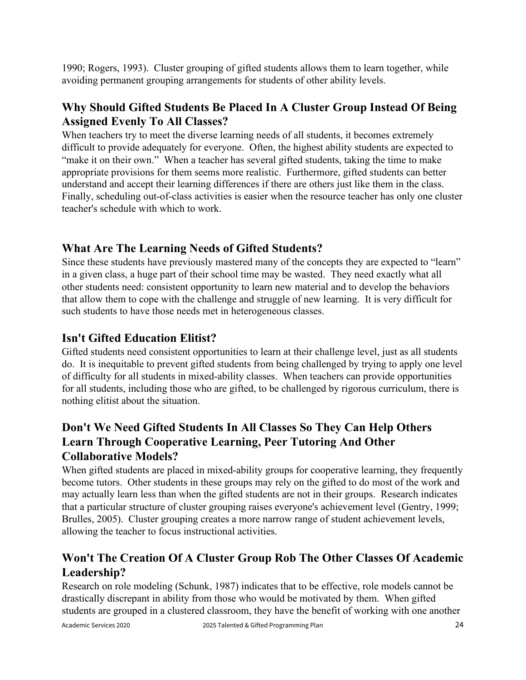1990; Rogers, 1993). Cluster grouping of gifted students allows them to learn together, while avoiding permanent grouping arrangements for students of other ability levels.

#### **Why Should Gifted Students Be Placed In A Cluster Group Instead Of Being Assigned Evenly To All Classes?**

When teachers try to meet the diverse learning needs of all students, it becomes extremely difficult to provide adequately for everyone. Often, the highest ability students are expected to "make it on their own." When a teacher has several gifted students, taking the time to make appropriate provisions for them seems more realistic. Furthermore, gifted students can better understand and accept their learning differences if there are others just like them in the class. Finally, scheduling out-of-class activities is easier when the resource teacher has only one cluster teacher's schedule with which to work.

#### **What Are The Learning Needs of Gifted Students?**

Since these students have previously mastered many of the concepts they are expected to "learn" in a given class, a huge part of their school time may be wasted. They need exactly what all other students need: consistent opportunity to learn new material and to develop the behaviors that allow them to cope with the challenge and struggle of new learning. It is very difficult for such students to have those needs met in heterogeneous classes.

#### **Isn't Gifted Education Elitist?**

Gifted students need consistent opportunities to learn at their challenge level, just as all students do. It is inequitable to prevent gifted students from being challenged by trying to apply one level of difficulty for all students in mixed-ability classes. When teachers can provide opportunities for all students, including those who are gifted, to be challenged by rigorous curriculum, there is nothing elitist about the situation.

### **Don't We Need Gifted Students In All Classes So They Can Help Others Learn Through Cooperative Learning, Peer Tutoring And Other Collaborative Models?**

When gifted students are placed in mixed-ability groups for cooperative learning, they frequently become tutors. Other students in these groups may rely on the gifted to do most of the work and may actually learn less than when the gifted students are not in their groups. Research indicates that a particular structure of cluster grouping raises everyone's achievement level (Gentry, 1999; Brulles, 2005). Cluster grouping creates a more narrow range of student achievement levels, allowing the teacher to focus instructional activities.

### **Won't The Creation Of A Cluster Group Rob The Other Classes Of Academic Leadership?**

Research on role modeling (Schunk, 1987) indicates that to be effective, role models cannot be drastically discrepant in ability from those who would be motivated by them. When gifted students are grouped in a clustered classroom, they have the benefit of working with one another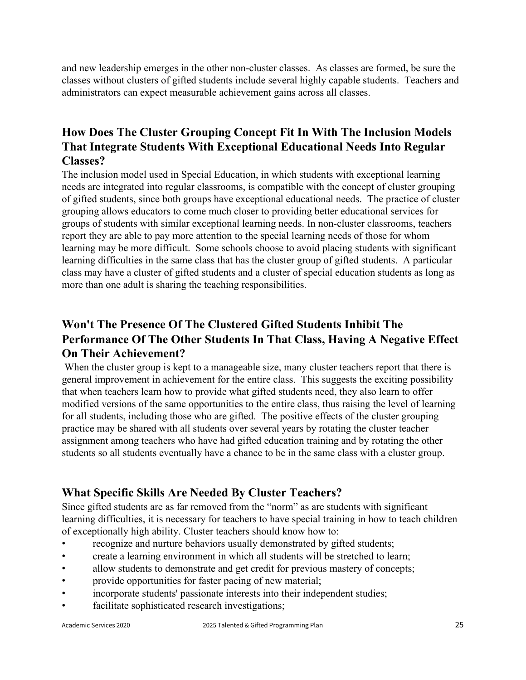and new leadership emerges in the other non-cluster classes. As classes are formed, be sure the classes without clusters of gifted students include several highly capable students. Teachers and administrators can expect measurable achievement gains across all classes.

#### **How Does The Cluster Grouping Concept Fit In With The Inclusion Models That Integrate Students With Exceptional Educational Needs Into Regular Classes?**

The inclusion model used in Special Education, in which students with exceptional learning needs are integrated into regular classrooms, is compatible with the concept of cluster grouping of gifted students, since both groups have exceptional educational needs. The practice of cluster grouping allows educators to come much closer to providing better educational services for groups of students with similar exceptional learning needs. In non-cluster classrooms, teachers report they are able to pay more attention to the special learning needs of those for whom learning may be more difficult. Some schools choose to avoid placing students with significant learning difficulties in the same class that has the cluster group of gifted students. A particular class may have a cluster of gifted students and a cluster of special education students as long as more than one adult is sharing the teaching responsibilities.

### **Won't The Presence Of The Clustered Gifted Students Inhibit The Performance Of The Other Students In That Class, Having A Negative Effect On Their Achievement?**

When the cluster group is kept to a manageable size, many cluster teachers report that there is general improvement in achievement for the entire class. This suggests the exciting possibility that when teachers learn how to provide what gifted students need, they also learn to offer modified versions of the same opportunities to the entire class, thus raising the level of learning for all students, including those who are gifted. The positive effects of the cluster grouping practice may be shared with all students over several years by rotating the cluster teacher assignment among teachers who have had gifted education training and by rotating the other students so all students eventually have a chance to be in the same class with a cluster group.

#### **What Specific Skills Are Needed By Cluster Teachers?**

Since gifted students are as far removed from the "norm" as are students with significant learning difficulties, it is necessary for teachers to have special training in how to teach children of exceptionally high ability. Cluster teachers should know how to:

- recognize and nurture behaviors usually demonstrated by gifted students;
- create a learning environment in which all students will be stretched to learn;
- allow students to demonstrate and get credit for previous mastery of concepts;
- provide opportunities for faster pacing of new material;
- incorporate students' passionate interests into their independent studies;
- facilitate sophisticated research investigations;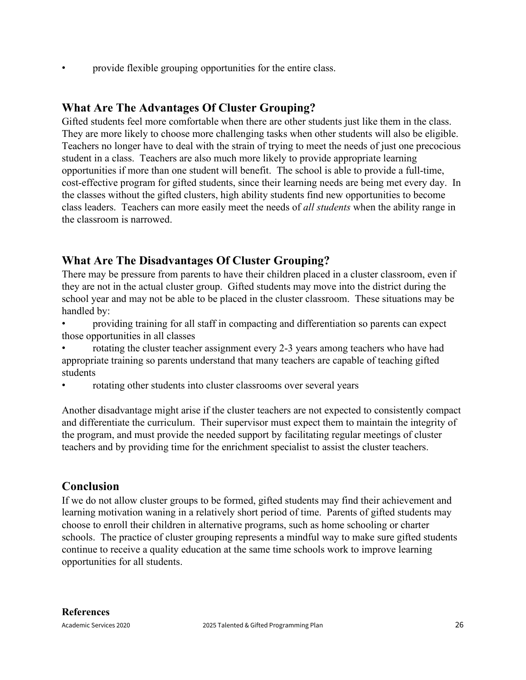provide flexible grouping opportunities for the entire class.

#### **What Are The Advantages Of Cluster Grouping?**

Gifted students feel more comfortable when there are other students just like them in the class. They are more likely to choose more challenging tasks when other students will also be eligible. Teachers no longer have to deal with the strain of trying to meet the needs of just one precocious student in a class. Teachers are also much more likely to provide appropriate learning opportunities if more than one student will benefit. The school is able to provide a full-time, cost-effective program for gifted students, since their learning needs are being met every day. In the classes without the gifted clusters, high ability students find new opportunities to become class leaders. Teachers can more easily meet the needs of *all students* when the ability range in the classroom is narrowed.

#### **What Are The Disadvantages Of Cluster Grouping?**

There may be pressure from parents to have their children placed in a cluster classroom, even if they are not in the actual cluster group. Gifted students may move into the district during the school year and may not be able to be placed in the cluster classroom. These situations may be handled by:

- providing training for all staff in compacting and differentiation so parents can expect those opportunities in all classes
- rotating the cluster teacher assignment every 2-3 years among teachers who have had appropriate training so parents understand that many teachers are capable of teaching gifted students
- rotating other students into cluster classrooms over several years

Another disadvantage might arise if the cluster teachers are not expected to consistently compact and differentiate the curriculum. Their supervisor must expect them to maintain the integrity of the program, and must provide the needed support by facilitating regular meetings of cluster teachers and by providing time for the enrichment specialist to assist the cluster teachers.

#### **Conclusion**

If we do not allow cluster groups to be formed, gifted students may find their achievement and learning motivation waning in a relatively short period of time. Parents of gifted students may choose to enroll their children in alternative programs, such as home schooling or charter schools. The practice of cluster grouping represents a mindful way to make sure gifted students continue to receive a quality education at the same time schools work to improve learning opportunities for all students.